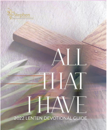

# HA<sup>T</sup> HAVE 2022 LENTEN DEVOTIONAL GUIDE

 $\Delta$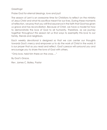Greetings!

Praise God for eternal blessings, love and joy!!

The season of Lent is an awesome time for Christians to reflect on the ministry of Jesus Christ and what his sacrifice meant for our lives. During these moments of reflection, we pray that you will find assurance in the faith that God has given us grace and has reconciliation. Because of Christ, we have a model for how to demonstrate the love of God to all humanity. Therefore, as we journey together throughout this season let us find ways to exemplify this love to our family, friends and neighbors.

Each weekly devotional is designed so that we can center our thoughts towards God's mercy and empower us to do the work of Christ in the world. It is our prayer that as you read and reflect, God's peace will surround you and encourage you to share the love of God with others.

"Only love, held him there on the cross…."

By God's Grace,

Rev. James C. Bailey, Pastor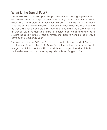# What is the Daniel Fast?

The **Daniel Fast** is based upon the prophet Daniel's fasting experiences as recorded in the Bible. Scripture gives us some insight (such as in Dan. 10:3) into what he ate and didn't eat; however, we don't know his complete menu. What we do know is this: In Daniel 1, Daniel chose not to eat the royal food that he was being served and ate only vegetables and drank water. Another time (in Daniel 10:2-3) he deprived himself of choice food, meat, and wine as he sought the Lord in prayer. Most commentaries believe "choice food" would have been bread and sweets.

The intention of today's Daniel Fast is not to duplicate exactly what Daniel did but the spirit in which he did it. Daniel's passion for the Lord caused him to hunger and thirst more for spiritual food than for physical food, which should be the desire of anyone choosing to participate in this type of fast.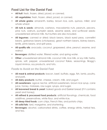# Food List for the Daniel Fast

- **All fruit:** fresh, frozen, dried, juiced, or canned.
- **All vegetables:** fresh, frozen, dried, juiced, or canned.
- **All whole grains**: amaranth, barley, brown rice, oats, quinoa, millet, and whole wheat.
- **In All nuts & seeds:** almonds, cashews, macadamia nuts, peanuts, pecans, pine nuts, walnuts, pumpkin seeds, sesame seeds, and sunflower seeds; unsweetened almond milk. Nut butters are also included.
- **All legumes**: canned or dried; black beans, black eyed peas, cannellini beans, garbanzo beans (chickpeas), great northern beans, kidney beans, lentils, pinto beans, and split peas.
- **All quality oils**: avocado, coconut, grapeseed, olive, peanut, sesame, and walnut.
- **Beverages:** distilled water, filtered water, and spring water.
- **Other:** unsweetened almond milk, coconut milk, rice milk, or soy milk; herbs, spices, salt, pepper, unsweetened coconut flakes, seasonings, Bragg's Liquid Aminos, soy products, and tofu.

### Foods to Avoid on the Daniel Fast

- **All meat & animal products**: bacon, beef, buffalo, eggs, fish, lamb, poultry, and pork.
- **All dairy products:** butter, cheese, cream, milk, and yogurt.
- **All sweeteners**: agave nectar, artificial sweeteners, brown rice syrup, cane juice, honey, molasses, raw sugar, syrups, and sugar.
- **All leavened bread & yeast**: baked goods and Ezekiel bread (if it contains yeast and honey).
- **All refined & processed food products**: artificial flavorings, chemicals, food additives, preservatives, white flour, and white rice.
- **EXECT All deep-fried foods:** corn chips, French fries, and potato chips.
- **All solid fats:** lard, margarine, and shortening.
- **Beverages:** alcohol, carbonated drinks, coffee, energy drinks, herbal tea, and tea.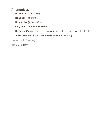# **Alternatives**

- **No Starch** (Starch-free)
- **No Sugar** (sugar Free)
- **No Alcohol** (Alcohol-Free)
- **Only two (2) hours of TV a day**
- **No Social Media** (Facebook, Instagram, Twitter, Snapchat, Tik Tok, etc…)
- **Three (3) hours off cell phone between 4 – 9 pm daily**

## Sacrificial Reading

3 Psalms a Day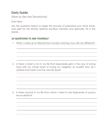# Daily Guide

[How to Use this Devotional]

Start Here:

Use the questions below to begin the process of preparing your mind, body, and spirit for this 40-Day Spiritual Sacrifice mentally and spiritually. Fill in the blanks

#### 10 QUESTIONS TO ASK YOURSELF:

1. When I wake up on Resurrection Sunday morning, how will I be different?

2. Is there a habit or sin in my life that repeatedly gets in the way of loving God with my whole heart or loving my neighbor as myself? How do I address that habit over the next 40 days?

3. Is there anyone in my life from whom I need to ask forgiveness or pursue reconciliation?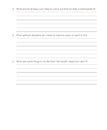4. What practical steps can I take to carve out time for daily contemplation?

5. What spiritual discipline do I need to improve upon or want to try?

6. What are some things in my life that I tell myself I need but I don't?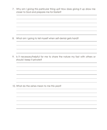7. Why am I giving this particular thing up? How does giving it up draw me closer to God and prepare me for Easter?

8. What am I going to tell myself when self-denial gets hard?

9. Is it necessary/helpful for me to share the nature my fast with others or should I keep it private?

10. What do the ashes mean to me this year?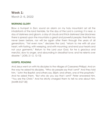Week 1: March 2- 6, 2022

#### MORNING GLORY

Blow a trumpet in Zion; sound an alarm on my holy mountain! Let all the inhabitants of the land tremble, for the day of the Lord is coming; it is near, a day of darkness and gloom, a day of clouds and thick darkness! Like blackness there is spread upon the mountains a great and powerful people; their like has never been before, nor will be again after them through the years of all generations. "Yet even now," declares the Lord, "return to me with all your heart, with fasting, with weeping, and with mourning; and rend your hearts and not your garments." Return to the Lord your God, for he is gracious and merciful, slow to anger, and abounding in steadfast love; and he relents over disaster." [JOEL 2:1-2, 12-13]

#### GOSPEL READING

And Jesus went on with his disciples to the villages of Caesarea Philippi. And on the way he asked his disciples, "Who do people say that I am?" And they told him, "John the Baptist; and others say, Elijah; and others, one of the prophets." And he asked them, "But who do you say that I am?" Peter answered him, "You are the Christ." And he strictly charged them to tell no one about him. [MARK 8:27-30]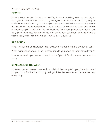Week 1: March 2 – 6, 2022

#### PRAYER

Have mercy on me, O God, according to your unfailing love; according to your great compassion blot out my transgressions. Wash away all my iniquity and cleanse me from my sin. Surely you desire truth in the inner parts; you teach me wisdom in the inmost place. Create in me a pure heart, O God, and renew a steadfast spirit within me. Do not cast me from your presence or take your Holy Spirit from me. Restore to me the joy of your salvation and grant me a willing spirit, to sustain me. Amen. [PSALM 51:1-2,6,10-12]

#### REFLECTION

What hesitations or hindrances do you have in beginning this journey of Lent? What habits/tendencies of self-absorption do you need to tear yourself from? In what ways do you sense a need for the Spirit of God to make Jesus real to you?

## CHALLENGE OF THE WEEK

Make a special prayer notebook and list all the people in your life who need prayers; pray for them each day during this Lenten season. Add someone new every day.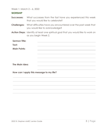Week 1: March 2 – 6, 2022

#### **WORSHIP**

- **Successes:** What successes from the fast have you experienced this week that you would like to celebrate?
- **Challenges:** What difficulties have you encountered over the past week that you would like to acknowledge?
- **Action Steps:** Identify at least one spiritual goal that you would like to work on as you begin Week 2.

| <b>Sermon Title:</b>                     |                                                                                                                  |
|------------------------------------------|------------------------------------------------------------------------------------------------------------------|
| Text:                                    |                                                                                                                  |
| <b>Main Points:</b>                      | and the control of the control of the control of the control of the control of the control of the control of the |
|                                          |                                                                                                                  |
| The Main Idea:                           |                                                                                                                  |
| How can I apply this message to my life? |                                                                                                                  |
|                                          |                                                                                                                  |
|                                          |                                                                                                                  |
|                                          |                                                                                                                  |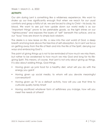Week 1: March 2 – 6, 2022

#### ACTIVITY:

Our aim during Lent is something like a wilderness experience. We want to shake up our lives significantly enough that when we reach for our usual comforts and grasp a fistful of air, we are forced to cling to Christ – his body, his blood. We want to see just how upside down our world really is as our "important things" prove to be perishable goods, as the light shines on our "righteousness" and exposes the layers of "self" beneath the surface, and as our "busy" lives are shown to simply lack wisdom.

The desire is a new lease on life, a view into the vast world of God, a deep breath and long look above the tree line of self-absorption. So in Lent we focus on getting away from the life of flesh and into the life of the Spirit, denying our ways and embracing God's.

The point of giving things up is not to be reminded of how much we miss them, but rather to be awakened to how much we miss God and long for his lifegiving Spirit. This means, of course, that Lent is not only about giving up things. It is also about adding things, God-things.

- Having given up junk food for a healthy diet, what will you do with the energy you gain?
- Having given up social media, to whom will you devote meaningful conversation?
- Having given up TV as a default activity, how will you use that time to cultivate quality family time?
- Having sacrificed whatever form of selfishness you indulge, how will you meet the needs of others?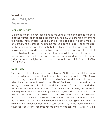Week 2: March 7-13, 2022 **Repentance** 

#### MORNING GLORY

Oh sing to the Lord a new song; sing to the Lord, all the earth! Sing to the Lord, bless his name; tell of his salvation from day to day. Declare his glory among the nations, his marvelous works among all the peoples! For great is the Lord, and greatly to be praised; he is to be feared above all gods. For all the gods of the peoples are worthless idols, but the Lord made the heavens. Let the heavens be glad, and let the earth rejoice; let the sea roar, and all that fills it; let the field exult, and everything in it! Then shall all the trees of the forest sing for joy before the Lord, for he comes, for he comes to judge the earth. He will judge the world in righteousness, and the peoples in his faithfulness. [PSALM 96:1-5, 11-13]

#### **SCRIPTURE**

They went on from there and passed through Galilee. And he did not want anyone to know, for he was teaching his disciples, saying to them, "The Son of Man is going to be delivered into the hands of men, and they will kill him. And when he is killed, after three days he will rise." But they did not understand the saying and were afraid to ask him. And they came to Capernaum. And when he was in the house he asked them, "What were you discussing on the way?" But they kept silent, for on the way they had argued with one another about who was the greatest. And he sat down and called the twelve. And he said to them, "If anyone would be first, he must be last of all and servant of all." And he took a child and put him in the midst of them, and taking him in his arms, he said to them, "Whoever receives one such child in my name receives me, and whoever receives me, receives not me but him who sent me." [MARK 9:30-37]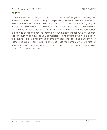#### PRAYER

I Love you Father, I love you so much and I come before you just pouring out my heart. God you are so worthy to be praised, I so want to be with you Jesus, walk with me and guide me. Father forgive me. Forgive me for all my sins, by thought, word and deed. God create in me a new heart; transform me so I will be who you will have me to be. Teach me how to walk and how to talk, teach me how to sit still and how to worship in your majesty, Father. God this Lenten Season I turn myself over to you completely. I understand it won't be easy in the flesh for I have given myself over to my desires for too long but right now Father I declare – I am yours. Fix me God. Use me Father. And I will forever sing your praises because you are the one I want, for I love you Jesus, always. Amen -Rev. Darrell Johnson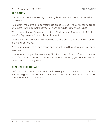#### REFLECTION

In what areas are you feeling shame, guilt, a need for a do-over, or drive to "do better"?

Take a few moments and confess these areas to God. Thank him for his grace and mercy in the gospel that frees us from being slaves to these things.

What areas of your life seem apart from God's control? Where is it difficult to feel God's presence in your circumstances?

Is there any area of your life in which you are resistant to God's control? Confess this in prayer to God.

What is your practice of confession and repentance like? Where do you need to grow?

In what areas of your life are you guilty of walking in isolation? What areas of your life does no one know about? What areas of struggle do you need to invite your community into?

#### CHALLENGE OF THE WEEK

Perform a random Act of Kindness this week (i.e., volunteer at Soup Kitchen, help a neighbor, visit a friend, bring lunch to a coworker, send a note of encouragement to someone)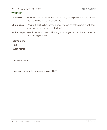#### **WORSHIP**

- **Successes:** What successes from the fast have you experienced this week that you would like to celebrate?
- **Challenges:** What difficulties have you encountered over the past week that you would like to acknowledge?
- **Action Steps:** Identify at least one spiritual goal that you would like to work on as you begin Week 3.

| <b>Sermon Title:</b> |  |
|----------------------|--|
| Text:                |  |
| <b>Main Points:</b>  |  |
|                      |  |
|                      |  |
| The Main Idea:       |  |
|                      |  |
|                      |  |

**How can I apply this message to my life?**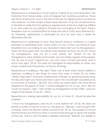Repentance is a response to God's grace. It leads to joy and restoration. Not frustration from trying harder, and not despair from beating yourself up. Those are forms of penance. Jesus is the end of the law for righteousness to everyone who believes, not tries harder or feels worse (Romans 10:4). He condemned sin in the flesh in order that the righteous requirements of the law might be fulfilled in us, who walk not according to the flesh but according to the Spirit. There is therefore now no condemnation for those who are in Christ Jesus (Romans 8:1- 4). Therefore, repentance is motivated by love for God and a desire for fellowship with him.

Repentance is addressed to God. King David's famous confession is a great example of addressing God: "Have mercy on me, O God, according to your steadfast love; according to your abundant mercy blot out my transgressions. Wash me thoroughly from my iniquity and cleanse me from my sin! For I know my transgressions, and my sin is ever before me" (Psalm 51:1-3). His transgressions were adultery and murder, two sins clearly against other people. Yet, he says to God: "Against you, you only, have I sinned and done what is evil in your sight" (51:4). This does not abrogate his responsibility to others, but simply underscores the primacy of God in all things.

Repentance is walking in the light. There was a time when David walked in darkness, unwilling to see things for what they were. In Psalm 32, he writes: "When I kept silent, my bones wasted away through my groaning all day long. For day and night your hand was heavy upon me; my strength was dried up as by the heat of summer." (32:3-4). Only when he came clean with God did he experience the grace of God: "I acknowledged my sin to you, and I did not cover my iniquity; I said, 'I will confess my transgressions to the LORD,' and you forgave the iniquity of my sin." (32:5).

Repentance is taking responsibility for our sin. In Psalm 51, David locates the problem:

"I know my transgressions, and my sin is ever before me" (51:4). He does not blame or justify or look for a way out. He goes on: "Behold, I was brought forth in iniquity, and in sin did my mother conceive me" (51:5). The problem is not just that he sinned, but that he is sinful. It would not be enough to clean the outside of the cup, which is why he seeks a deeper cleansing: "Behold, you delight in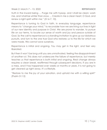truth in the inward being … Purge me with hyssop, and I shall be clean; wash me, and I shall be whiter than snow … Create in me a clean heart, O God, and renew a right spirit within me." (51:6-7, 10).

Repentance is turning to God in faith. In everyday language, repentance means to "change your mind," to reconsider how we are living our lives in light of our new identity and purpose in Christ. We are prone to wander, to pursue life on our terms, to locate our sense of worth and joy and peace outside of God. So the call to repentance is a standing invitation to give up our idolatrous pursuits, and turn to the one true God who restores us to the life for which we were made. We cannot save ourselves.

Repentance is initial and ongoing. You may get in the light, and feel very liberated.

But then it won't be long until you are unmotivated, feeling the disappointment of another rut. This does not underscore the failure of repentance, but merely teaches us that repentance is both initial and ongoing. Real change always requires a clean break, reaffirmed through subsequent decisions. If you are in a mess, and it has happened over weeks or months or years, it is not going to get cleaned up right away. It's a lifestyle.

"Restore to me the joy of your salvation, and uphold me with a willing spirit" (Psalm 51:12)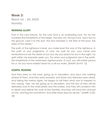Week 3:

March 14 – 20, 2022 Humility

#### MORNING GLORY

Trust in the Lord forever, for the Lord God is an everlasting rock. For he has humbled the inhabitants of the height, the lofty city. He lays it low, lays it low to the ground, casts it to the dust. The foot tramples it, the feet of the poor, the steps of the needy."

The path of the righteous is level; you make level the way of the righteous. In the path of your judgments, O Lord, we wait for you; your name and remembrance are the desire of our soul. My soul yearns for you in the night; my spirit within me earnestly seeks you. For when your judgments are in the earth, the inhabitants of the world learn righteousness. O Lord, you will ordain peace for us, for you have indeed done for us all our works. [ISAIAH 26:4-9, 12]

#### GOSPEL READING

And they were on the road, going up to Jerusalem, and Jesus was walking ahead of them. And they were amazed, and those who followed were afraid. And taking the twelve again, he began to tell them what was to happen to him, saying, "See, we are going up to Jerusalem, and the Son of Man will be delivered over to the chief priests and the scribes, and they will condemn him to death and deliver him over to the Gentiles. And they will mock him and spit on him, and flog him and kill him. And after three days he will rise." [MARK 10:32- 34]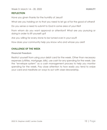Week 3: March 14 – 20, 2022 **HUMILITY**

#### REFLECTION

Have you given thanks for the humility of Jesus?

What are you holding on to that you need to let go of for the good of others?

Do you sense a need to submit to God in some area of your life?

From whom do you want approval or attention? What are you pursuing or doing in order to lift yourself up?

Are you willing for every stone to be turned over in your soul?

How does your community help you know who and whose you are?

#### CHALLENGE OF THE WEEK

#### **Financial Freedom**

Restrict yourself from using your debit card for the week. Other than necessary expenses (utilities, mortgage, bills), use cash for any spending for the week. Use the "envelope system" as a cash management process to help you monitor spending for the week. Pay close attention to how easily you tend to swipe your card and meditate on ways to act with wiser stewardship.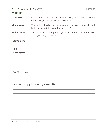Week 3: March 14 – 20, 2022 **HUMILITY**

#### WORSHIP

| Successes:                   | What successes from the fast have you experienced this<br>week that you would like to celebrate? |  |  |  |
|------------------------------|--------------------------------------------------------------------------------------------------|--|--|--|
| <b>Challenges:</b>           | What difficulties have you encountered over the past week<br>that you would like to acknowledge? |  |  |  |
| <b>Action Steps:</b>         | Identify at least one spiritual goal that you would like to work<br>on as you begin Week 4.      |  |  |  |
| <b>Sermon Title:</b>         |                                                                                                  |  |  |  |
| Text:<br><b>Main Points:</b> |                                                                                                  |  |  |  |
|                              |                                                                                                  |  |  |  |
|                              |                                                                                                  |  |  |  |
| The Main Idea:               | <u> 1989 - Johann Stein, mars an de Frankrik (f. 1989)</u>                                       |  |  |  |
|                              | How can I apply this message to my life?                                                         |  |  |  |
|                              |                                                                                                  |  |  |  |
|                              |                                                                                                  |  |  |  |
|                              |                                                                                                  |  |  |  |
|                              |                                                                                                  |  |  |  |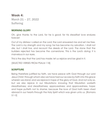# Week 4:

March 21 – 27, 2022 **Suffering** 

#### MORNING GLORY

Oh, give thanks to the Lord, for he is good; for his steadfast love endures forever!

Out of my distress I called on the Lord; the Lord answered me and set me free. The Lord is my strength and my song; he has become my salvation. I shall not die, but I shall live, and recount the deeds of the Lord. The stone that the builders rejected has become the cornerstone. This is the Lord's doing; it is marvelous in our eyes.

This is the day that the Lord has made; let us rejoice and be glad in it.

[SELECTED VERSES FROM PSALM 118]

#### **SCRIPTURE**

Being therefore justified by faith, we have peace with God through our Lord Jesus Christ; through whom also we have had our access by faith into this grace wherein we stand; and we rejoice in hope of the glory of God. And not only so, but we also rejoice in our tribulations: knowing that tribulation worketh steadfastness; and steadfastness; approvedness; and approvedness, hope: and hope putteth not to shame; because the love of God hath been shed abroad in our hearts through the Holy Spirit which was given unto us. [Romans 5:1-5]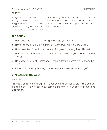#### PRAYER

Almighty and Most Merciful God, we ask forgiveness for our sins committed by thought, word or deed. In the name of Jesus, cleanse us from all unrighteousness. Give us a clean heart and renew the right Spirit within us. Thank you, Lord, for answering prayer. Amen.

- Deaconess Monica Douglas (2016)

#### REFLECTION

- 1. How does the reality of suffering challenge your faith?
- 2. Have you tried to explain suffering in ways that might be unbiblical?
- 3. How does Jesus' death and resurrection give you strength and hope?
- 4. How does your inclination to avoid hardship hinder your ability to follow Jesus?
- 5. How does the Spirit's presence in your suffering comfort and strengthen you?
- 6. Is the Spirit currently leading you somewhere you don't want to go?

#### CHALLENGE OF THE WEEK

#### **Media Fast**

This week, choose to Unplug—TV, Facebook, Twitter, Netflix, etc. This is perhaps the single best way to carve out some extra time in your day for prayer and meditation.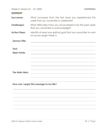Week 4: March 21 – 27, 2022 **SUFFERING**

#### WORSHIP

| Successes:                   | What successes from the fast have you experienced this<br>week that you would like to celebrate? |  |  |
|------------------------------|--------------------------------------------------------------------------------------------------|--|--|
| <b>Challenges:</b>           | What difficulties have you encountered over the past week<br>that you would like to acknowledge? |  |  |
| <b>Action Steps:</b>         | Identify at least one spiritual goal that you would like to work<br>on as you begin Week 5.      |  |  |
| <b>Sermon Title:</b>         |                                                                                                  |  |  |
| Text:<br><b>Main Points:</b> |                                                                                                  |  |  |
| The Main Idea:               |                                                                                                  |  |  |
|                              | How can I apply this message to my life?                                                         |  |  |
|                              |                                                                                                  |  |  |
|                              |                                                                                                  |  |  |
|                              |                                                                                                  |  |  |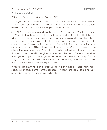Week 4: March 21 – 27, 2022 **SUFFERING**

#### Be Imitators of God

Written by Deaconess Monica Douglas (2011)

Since you are God's dear children, you must try to be like Him. Your life must be controlled by love, just as Christ loved us and gave His life for us as a sweet smelling offering and sacrifice that pleased the Father.

Say "No" to selfish desires and wants, and say "Yes" to God, Who has given us His Word to teach us how to live our lives on earth. Jesus told His followers (disciples) to take up their cross daily, deny themselves and follow Him. These crosses are sometimes very difficult, painful, cause misery and suffering. To carry the cross involves self-denial and self-restraint. There will be unforeseen circumstances that will be unbearable. Trust and obey God anyhow—with Him at our side we can endure. Speak to Him daily. He is a friend that sticks closer than a brother. He will strengthen you to bear the tests. There is a constant message of hope for the kingdom to come, but there is also help for the kingdom at hand. As Christians we look forward to the joys of heaven and at the same time we embrace the joys of life.

If you forget anything, don't forget Jesus. When times get hard, remember Jesus. When tears come, remember Jesus. When there seems to be no way, remember Jesus. Let Him be your all in all.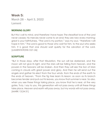Week 5: March 28 – April 3, 2022 Lament

#### MORNING GLORY

But this I call to mind, and therefore I have hope: The steadfast love of the Lord never ceases; his mercies never come to an end; they are new every morning; great is your faithfulness. "The Lord is my portion," says my soul, "therefore I will hope in him." The Lord is good to those who wait for him, to the soul who seeks him. It is good that one should wait quietly for the salvation of the Lord. [LAMENTATIONS 3:21-26]

#### **SCRIPTURE**

"But in those days, after that tribulation, the sun will be darkened, and the moon will not give its light, and the stars will be falling from heaven, and the powers in the heavens will be shaken. And then they will see the Son of Man coming in clouds with great power and glory. And then he will send out the angels and gather his elect from the four winds, from the ends of the earth to the ends of heaven. "From the fig tree learn its lesson: as soon as its branch becomes tender and puts out its leaves, you know that summer is near. So also, when you see these things taking place, you know that he is near, at the very gates. Truly, I say to you, this generation will not pass away until all these things take place. Heaven and earth will pass away, but my words will not pass away. [MARK 13:24-31]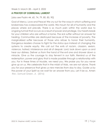#### A PRAYER OF COMMUNAL LAMENT

#### [also see Psalm 44, 60, 74, 79, 80, 85, 90]

God of Mercy, Love and Peace! We cry out for the ways in which suffering and brokenness has overpowered the world. We mourn for all of humanity and the places where evil prevails. There is so much pain within the world due to ongoing turmoil that occurs as a result of power and privilege. Our hearts break for your children who are without a home. The sick suffer without an answer for healing. Communities are destroyed because of the increase of poverty. The marginalized suffer because of those who refuse to honor their humanity. Dangerous leaders choose to fight for the status quo instead of changing the systems to create equity. We call out the evils of racism, classism, sexism, violence, hatred, intolerance and all of despair. Lord, look down upon us and hear our distress. Deliver us from the hand of the evil one and shower down a miracle. Give us the courage to stay fervent in our faith. Remind us of the redemption, power and glory that is made possible through a relationship with you. For in these times of trouble, we need you. We praise you for you never give up on us. We celebrate that in the midst of trials, we are not alone. Thank you for your presence that gives us new mercies from day to day. Guide us by the power of your Spirit as we wait for an answer from you. Let it be so. Amen -Rev. Samuel Green, Jr. (2016)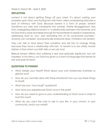#### **REFLECTION**

Lament is not about getting things off your chest. It's about casting your anxieties upon God, and trusting him with them. Mere complaining indicates a lack of intimacy with God. Because lament is a form of prayer, lament transforms our cries and complaints into worship. Walter Brueggemann says that undergirding biblical lament is "a relationship between the lamenter and his God that is close and deep enough for the protester to speak in imperatives, addressing God as 'you' and reminding him of his covenantal promises." Anyone can complain, and practically everyone does. Christians can lament.

They can talk to God about their condition and ask him to change things because they have a relationship with him. To lament is to be utterly honest before a God whom our faith tells us we can trust.

Biblical lament affirms that suffering is real and spiritually significant, but not hopeless. In his mercy, our God has given us a form of language that bends his ear and pulls his heart.

#### QUESTIONS TO PONDER

- What breaks your heart? What about your own brokenness frustrates or grieves you?
- How do you normally deal with these emotions? Can you say these things to God?
- What are your "how long?" questions?
- How have you experienced God's love in the past?
- How do you need to grow in your understanding of God's love in order to trust him now?
- What do you want the Lord to see in your life, in your church, in your community, and in our world?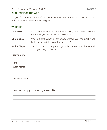#### CHALLENGE OF THE WEEK

Purge of all your excess stuff and donate the best of it to Goodwill or a local thrift store that benefits your neighbors.

#### **WORSHIP**

| Successes:           | What successes from the fast have you experienced this<br>week that you would like to celebrate? |  |  |  |
|----------------------|--------------------------------------------------------------------------------------------------|--|--|--|
| <b>Challenges:</b>   | What difficulties have you encountered over the past week<br>that you would like to acknowledge? |  |  |  |
| <b>Action Steps:</b> | Identify at least one spiritual goal that you would like to work<br>on as you begin Week 6.      |  |  |  |
| <b>Sermon Title:</b> |                                                                                                  |  |  |  |
| Text:                |                                                                                                  |  |  |  |
| <b>Main Points:</b>  |                                                                                                  |  |  |  |
| The Main Idea:       |                                                                                                  |  |  |  |
|                      | How can I apply this message to my life?                                                         |  |  |  |
|                      |                                                                                                  |  |  |  |
|                      |                                                                                                  |  |  |  |
|                      |                                                                                                  |  |  |  |
|                      |                                                                                                  |  |  |  |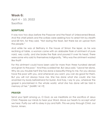# Week 6:

April 4 – 10, 2022 **Sacrifice** 

#### **SCRIPTURE**

It was now two days before the Passover and the Feast of Unleavened Bread. And the chief priests and the scribes were seeking how to arrest him by stealth and kill him, for they said, "Not during the feast, lest there be an uproar from the people."

And while he was at Bethany in the house of Simon the leper, as he was reclining at table, a woman came with an alabaster flask of ointment of pure nard, very costly, and she broke the flask and poured it over his head. There were some who said to themselves indignantly, "Why was the ointment wasted like that?

For this ointment could have been sold for more than three hundred denarii and given to the poor." And they scolded her. But Jesus said, "Leave her alone. Why do you trouble her? She has done a beautiful thing to me. For you always have the poor with you, and whenever you want, you can do good for them. But you will not always have me. She has done what she could; she has anointed my body beforehand for burial. And truly, I say to you, wherever the gospel is proclaimed in the whole world, what she has done will be told in memory of her." [MARK 14:1-9]

#### PRAYER

Send your Spirit among us, O God, as we meditate on the sacrifice of Jesus Christ. Prepare our minds to hear your Word. Move our hearts to accept what we hear. Purify our will to obey in joy and faith. This we pray through Christ, our Savior. Amen.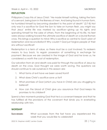Week 6: April 4 – 10, 2022 **SACRIFICE**

#### REFLECTION

Philippians 2 says this of Jesus Christ: "He made himself nothing, taking the form of a servant, being born in the likeness of men. And being found in human form, he humbled himself by becoming obedient to the point of death" (2:7-8) Not only was it a sacrifice for God the Son to take on human flesh, you might say that Jesus' entire life was marked by sacrifice—giving up his rights and spending himself for the sake of others. From the beginning of his life, his feet were always walking toward the ultimate sacrifice of death on a brutal Roman cross. This brings a question to mind: Why is sacrifice so central to God's plan of redemption and reconciliation? Why couldn't God just forgive people of their sins without sacrifice?

Redemption is a term of value, so there must be a cost involved. To redeem means to buy back, to regain possession of something in exchange for payment. Because we are created in the image of God and he loves us, he considered us worth the cost of redemption.

Our salvation from sin and death was paid for through the sacrifice of Jesus by death on the cross. God thought we were worth saving. The questions we should continue to ask ourselves in this season are:

- 1. What forms of evil have we been saved from?
- 2. What does Christ's sacrifice save us for?
- 3. What promises of God (which you have in Christ) are you struggling to believe?
- 4. How can the blood of Christ give you assurance that God keeps his promises to his children?

Spend a few moments praising God that he is a covenant-keeper and that he has fulfilled all the provisions of the covenant that binds you in everlasting relationship with him.

#### **WORSHIP**

**Successes:** What successes from the fast have you experienced this week that you would like to celebrate?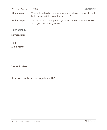| Week 6: April 4 - 10, 2022 |                                                                                                  | <b>SACRIFICE</b> |
|----------------------------|--------------------------------------------------------------------------------------------------|------------------|
| <b>Challenges:</b>         | What difficulties have you encountered over the past week<br>that you would like to acknowledge? |                  |
| <b>Action Steps:</b>       | Identify at least one spiritual goal that you would like to work<br>on as you begin Holy Week.   |                  |
| <b>Palm Sunday</b>         |                                                                                                  |                  |
| <b>Sermon Title:</b>       |                                                                                                  |                  |
| Text:                      |                                                                                                  |                  |
| <b>Main Points:</b>        |                                                                                                  |                  |
|                            |                                                                                                  |                  |
|                            |                                                                                                  |                  |
| The Main Idea:             |                                                                                                  |                  |
|                            | How can I apply this message to my life?                                                         |                  |
|                            |                                                                                                  |                  |
|                            |                                                                                                  |                  |
|                            |                                                                                                  |                  |
|                            |                                                                                                  |                  |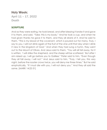# Holy Week:

April 11 – 17, 2022 Death

#### **SCRIPTURE**

And as they were eating, he took bread, and after blessing it broke it and gave it to them, and said, "Take; this is my body." And he took a cup, and when he had given thanks he gave it to them, and they all drank of it. And he said to them, "This is my blood of the covenant, which is poured out for many. Truly, I say to you, I will not drink again of the fruit of the vine until that day when I drink it new in the kingdom of God." And when they had sung a hymn, they went out to the Mount of Olives. And Jesus said to them, "You will all fall away, for it is written, 'I will strike the shepherd, and the sheep will be scattered.' But after I am raised up, I will go before you to Galilee." Peter said to him, "Even though they all fall away, I will not." And Jesus said to him, "Truly, I tell you, this very night, before the rooster crows twice, you will deny me three times." But he said emphatically, "If I must die with you, I will not deny you." And they all said the same. [MARK 14:22-31]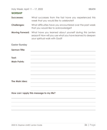Holy Week: April 11 – 17, 2022 **DEATH**

#### WORSHIP

| <b>Successes:</b>      | What successes from the fast have you experienced this<br>week that you would like to celebrate?                                                     |
|------------------------|------------------------------------------------------------------------------------------------------------------------------------------------------|
| <b>Challenges:</b>     | What difficulties have you encountered over the past week<br>that you would like to acknowledge?                                                     |
| <b>Moving Forward:</b> | What have you learned about yourself during this Lenten<br>season? How will you use what you have learned to deepen<br>your spiritual walk with God? |
| <b>Easter Sunday</b>   |                                                                                                                                                      |
| <b>Sermon Title:</b>   |                                                                                                                                                      |
| Text:                  |                                                                                                                                                      |
| <b>Main Points:</b>    |                                                                                                                                                      |
|                        |                                                                                                                                                      |
| <b>The Main Idea:</b>  |                                                                                                                                                      |
|                        |                                                                                                                                                      |
|                        | How can I apply this message to my life?                                                                                                             |
|                        |                                                                                                                                                      |
|                        |                                                                                                                                                      |
|                        |                                                                                                                                                      |